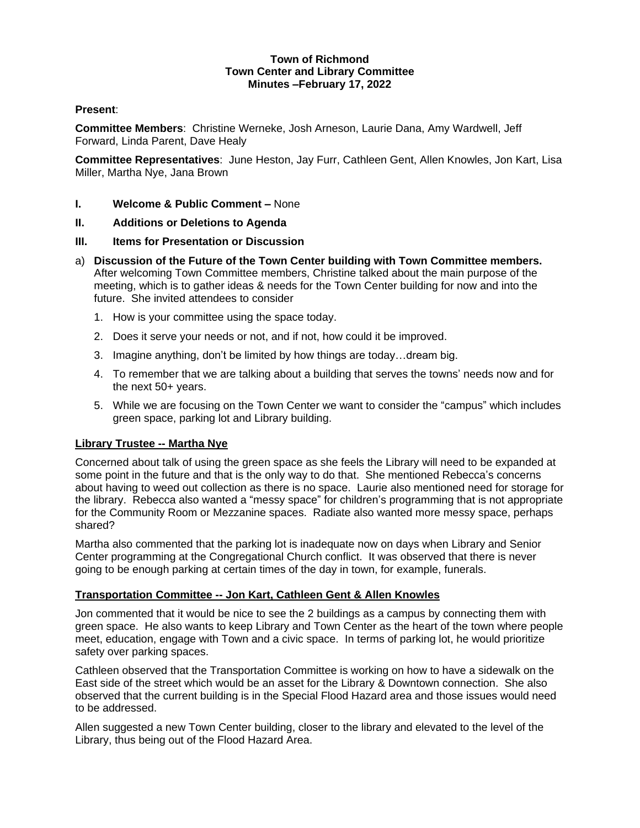### **Town of Richmond Town Center and Library Committee Minutes –February 17, 2022**

# **Present**:

**Committee Members**: Christine Werneke, Josh Arneson, Laurie Dana, Amy Wardwell, Jeff Forward, Linda Parent, Dave Healy

**Committee Representatives**: June Heston, Jay Furr, Cathleen Gent, Allen Knowles, Jon Kart, Lisa Miller, Martha Nye, Jana Brown

- **I. Welcome & Public Comment –** None
- **II. Additions or Deletions to Agenda**
- **III. Items for Presentation or Discussion**
- a) **Discussion of the Future of the Town Center building with Town Committee members.** After welcoming Town Committee members, Christine talked about the main purpose of the meeting, which is to gather ideas & needs for the Town Center building for now and into the future. She invited attendees to consider
	- 1. How is your committee using the space today.
	- 2. Does it serve your needs or not, and if not, how could it be improved.
	- 3. Imagine anything, don't be limited by how things are today…dream big.
	- 4. To remember that we are talking about a building that serves the towns' needs now and for the next 50+ years.
	- 5. While we are focusing on the Town Center we want to consider the "campus" which includes green space, parking lot and Library building.

# **Library Trustee -- Martha Nye**

Concerned about talk of using the green space as she feels the Library will need to be expanded at some point in the future and that is the only way to do that. She mentioned Rebecca's concerns about having to weed out collection as there is no space. Laurie also mentioned need for storage for the library. Rebecca also wanted a "messy space" for children's programming that is not appropriate for the Community Room or Mezzanine spaces. Radiate also wanted more messy space, perhaps shared?

Martha also commented that the parking lot is inadequate now on days when Library and Senior Center programming at the Congregational Church conflict. It was observed that there is never going to be enough parking at certain times of the day in town, for example, funerals.

# **Transportation Committee -- Jon Kart, Cathleen Gent & Allen Knowles**

Jon commented that it would be nice to see the 2 buildings as a campus by connecting them with green space. He also wants to keep Library and Town Center as the heart of the town where people meet, education, engage with Town and a civic space. In terms of parking lot, he would prioritize safety over parking spaces.

Cathleen observed that the Transportation Committee is working on how to have a sidewalk on the East side of the street which would be an asset for the Library & Downtown connection. She also observed that the current building is in the Special Flood Hazard area and those issues would need to be addressed.

Allen suggested a new Town Center building, closer to the library and elevated to the level of the Library, thus being out of the Flood Hazard Area.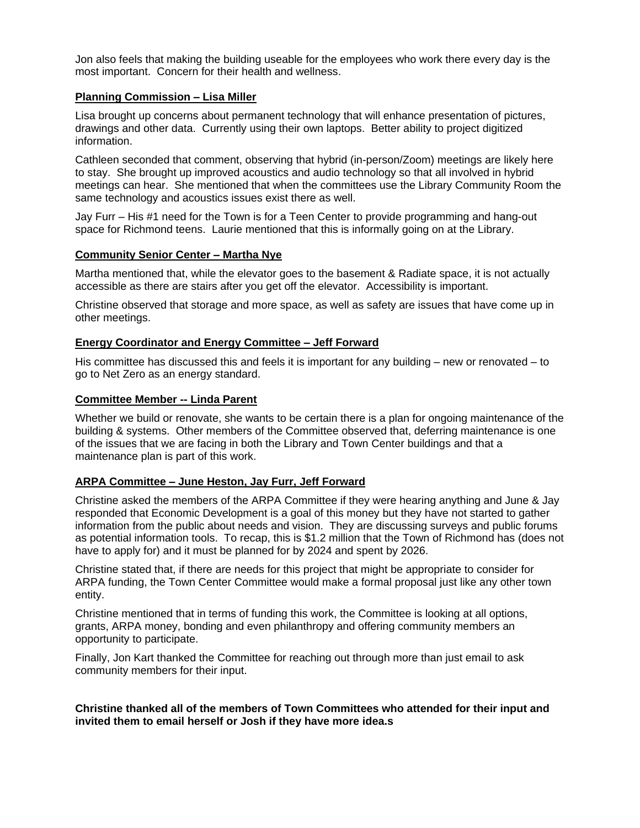Jon also feels that making the building useable for the employees who work there every day is the most important. Concern for their health and wellness.

### **Planning Commission – Lisa Miller**

Lisa brought up concerns about permanent technology that will enhance presentation of pictures, drawings and other data. Currently using their own laptops. Better ability to project digitized information.

Cathleen seconded that comment, observing that hybrid (in-person/Zoom) meetings are likely here to stay. She brought up improved acoustics and audio technology so that all involved in hybrid meetings can hear. She mentioned that when the committees use the Library Community Room the same technology and acoustics issues exist there as well.

Jay Furr – His #1 need for the Town is for a Teen Center to provide programming and hang-out space for Richmond teens. Laurie mentioned that this is informally going on at the Library.

# **Community Senior Center – Martha Nye**

Martha mentioned that, while the elevator goes to the basement & Radiate space, it is not actually accessible as there are stairs after you get off the elevator. Accessibility is important.

Christine observed that storage and more space, as well as safety are issues that have come up in other meetings.

### **Energy Coordinator and Energy Committee – Jeff Forward**

His committee has discussed this and feels it is important for any building – new or renovated – to go to Net Zero as an energy standard.

### **Committee Member -- Linda Parent**

Whether we build or renovate, she wants to be certain there is a plan for ongoing maintenance of the building & systems. Other members of the Committee observed that, deferring maintenance is one of the issues that we are facing in both the Library and Town Center buildings and that a maintenance plan is part of this work.

#### **ARPA Committee – June Heston, Jay Furr, Jeff Forward**

Christine asked the members of the ARPA Committee if they were hearing anything and June & Jay responded that Economic Development is a goal of this money but they have not started to gather information from the public about needs and vision. They are discussing surveys and public forums as potential information tools. To recap, this is \$1.2 million that the Town of Richmond has (does not have to apply for) and it must be planned for by 2024 and spent by 2026.

Christine stated that, if there are needs for this project that might be appropriate to consider for ARPA funding, the Town Center Committee would make a formal proposal just like any other town entity.

Christine mentioned that in terms of funding this work, the Committee is looking at all options, grants, ARPA money, bonding and even philanthropy and offering community members an opportunity to participate.

Finally, Jon Kart thanked the Committee for reaching out through more than just email to ask community members for their input.

### **Christine thanked all of the members of Town Committees who attended for their input and invited them to email herself or Josh if they have more idea.s**